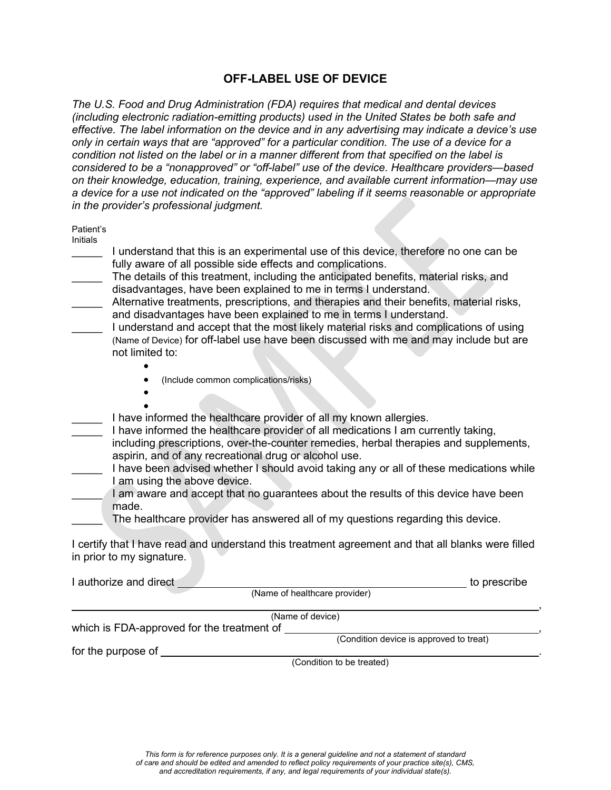## **OFF-LABEL USE OF DEVICE**

*The U.S. Food and Drug Administration (FDA) requires that medical and dental devices (including electronic radiation-emitting products) used in the United States be both safe and effective. The label information on the device and in any advertising may indicate a device's use only in certain ways that are "approved" for a particular condition. The use of a device for a condition not listed on the label or in a manner different from that specified on the label is considered to be a "nonapproved" or "off-label" use of the device. Healthcare providers—based on their knowledge, education, training, experience, and available current information—may use a device for a use not indicated on the "approved" labeling if it seems reasonable or appropriate in the provider's professional judgment.* 

| Patient's<br>Initials<br>I understand that this is an experimental use of this device, therefore no one can be<br>fully aware of all possible side effects and complications.<br>The details of this treatment, including the anticipated benefits, material risks, and<br>disadvantages, have been explained to me in terms I understand.<br>Alternative treatments, prescriptions, and therapies and their benefits, material risks,<br>and disadvantages have been explained to me in terms I understand.<br>I understand and accept that the most likely material risks and complications of using<br>(Name of Device) for off-label use have been discussed with me and may include but are<br>not limited to: |
|---------------------------------------------------------------------------------------------------------------------------------------------------------------------------------------------------------------------------------------------------------------------------------------------------------------------------------------------------------------------------------------------------------------------------------------------------------------------------------------------------------------------------------------------------------------------------------------------------------------------------------------------------------------------------------------------------------------------|
| (Include common complications/risks)                                                                                                                                                                                                                                                                                                                                                                                                                                                                                                                                                                                                                                                                                |
|                                                                                                                                                                                                                                                                                                                                                                                                                                                                                                                                                                                                                                                                                                                     |
| I have informed the healthcare provider of all my known allergies.<br>I have informed the healthcare provider of all medications I am currently taking,<br>including prescriptions, over-the-counter remedies, herbal therapies and supplements,<br>aspirin, and of any recreational drug or alcohol use.                                                                                                                                                                                                                                                                                                                                                                                                           |
| I have been advised whether I should avoid taking any or all of these medications while                                                                                                                                                                                                                                                                                                                                                                                                                                                                                                                                                                                                                             |
| I am using the above device.<br>I am aware and accept that no guarantees about the results of this device have been<br>made.                                                                                                                                                                                                                                                                                                                                                                                                                                                                                                                                                                                        |
| The healthcare provider has answered all of my questions regarding this device.                                                                                                                                                                                                                                                                                                                                                                                                                                                                                                                                                                                                                                     |
| I certify that I have read and understand this treatment agreement and that all blanks were filled<br>in prior to my signature.                                                                                                                                                                                                                                                                                                                                                                                                                                                                                                                                                                                     |
| I authorize and direct<br>to prescribe                                                                                                                                                                                                                                                                                                                                                                                                                                                                                                                                                                                                                                                                              |
| (Name of healthcare provider)                                                                                                                                                                                                                                                                                                                                                                                                                                                                                                                                                                                                                                                                                       |
| (Name of device)<br>which is FDA-approved for the treatment of                                                                                                                                                                                                                                                                                                                                                                                                                                                                                                                                                                                                                                                      |

(Condition to be treated)

(Condition device is approved to treat)

for the purpose of **with the purpose** of  $\blacksquare$